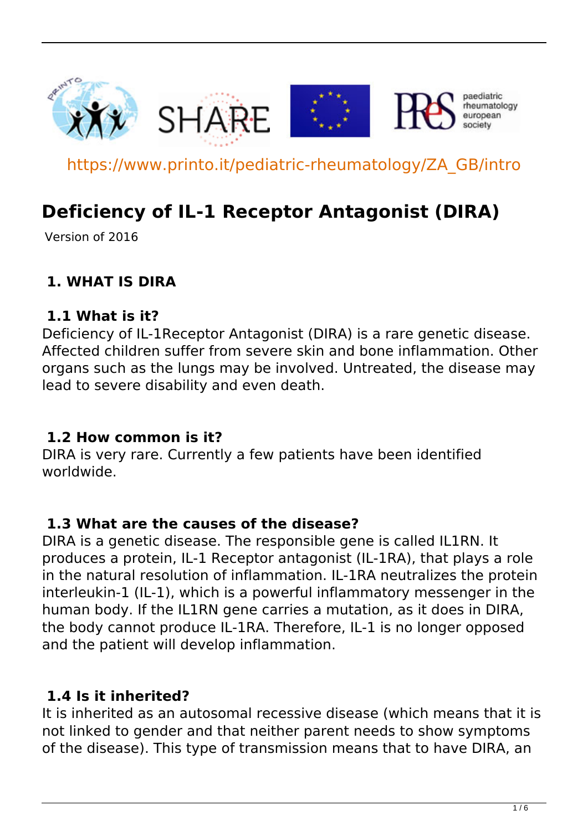

https://www.printo.it/pediatric-rheumatology/ZA\_GB/intro

# **Deficiency of IL-1 Receptor Antagonist (DIRA)**

Version of 2016

### **1. WHAT IS DIRA**

#### **1.1 What is it?**

Deficiency of IL-1Receptor Antagonist (DIRA) is a rare genetic disease. Affected children suffer from severe skin and bone inflammation. Other organs such as the lungs may be involved. Untreated, the disease may lead to severe disability and even death.

#### **1.2 How common is it?**

DIRA is very rare. Currently a few patients have been identified worldwide.

#### **1.3 What are the causes of the disease?**

DIRA is a genetic disease. The responsible gene is called IL1RN. It produces a protein, IL-1 Receptor antagonist (IL-1RA), that plays a role in the natural resolution of inflammation. IL-1RA neutralizes the protein interleukin-1 (IL-1), which is a powerful inflammatory messenger in the human body. If the IL1RN gene carries a mutation, as it does in DIRA, the body cannot produce IL-1RA. Therefore, IL-1 is no longer opposed and the patient will develop inflammation.

#### **1.4 Is it inherited?**

It is inherited as an autosomal recessive disease (which means that it is not linked to gender and that neither parent needs to show symptoms of the disease). This type of transmission means that to have DIRA, an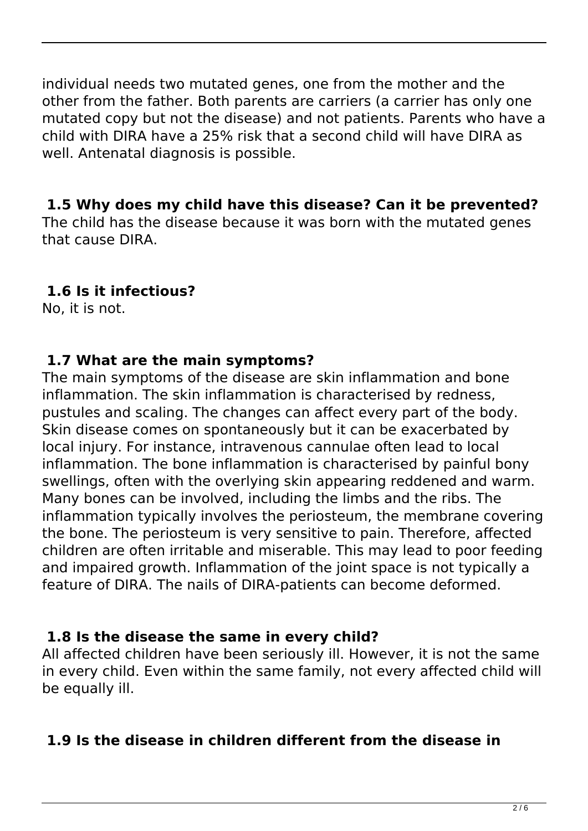individual needs two mutated genes, one from the mother and the other from the father. Both parents are carriers (a carrier has only one mutated copy but not the disease) and not patients. Parents who have a child with DIRA have a 25% risk that a second child will have DIRA as well. Antenatal diagnosis is possible.

#### **1.5 Why does my child have this disease? Can it be prevented?**

The child has the disease because it was born with the mutated genes that cause DIRA.

### **1.6 Is it infectious?**

No, it is not.

### **1.7 What are the main symptoms?**

The main symptoms of the disease are skin inflammation and bone inflammation. The skin inflammation is characterised by redness, pustules and scaling. The changes can affect every part of the body. Skin disease comes on spontaneously but it can be exacerbated by local injury. For instance, intravenous cannulae often lead to local inflammation. The bone inflammation is characterised by painful bony swellings, often with the overlying skin appearing reddened and warm. Many bones can be involved, including the limbs and the ribs. The inflammation typically involves the periosteum, the membrane covering the bone. The periosteum is very sensitive to pain. Therefore, affected children are often irritable and miserable. This may lead to poor feeding and impaired growth. Inflammation of the joint space is not typically a feature of DIRA. The nails of DIRA-patients can become deformed.

# **1.8 Is the disease the same in every child?**

All affected children have been seriously ill. However, it is not the same in every child. Even within the same family, not every affected child will be equally ill.

# **1.9 Is the disease in children different from the disease in**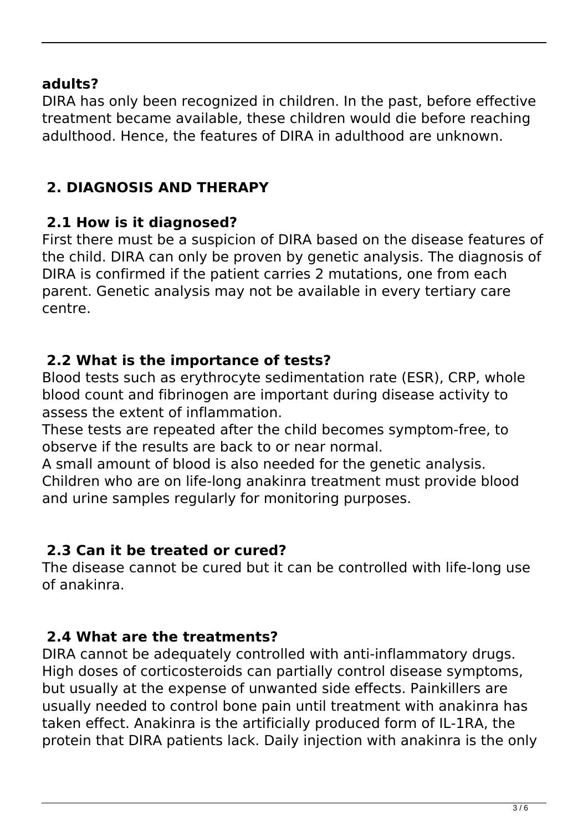#### **adults?**

DIRA has only been recognized in children. In the past, before effective treatment became available, these children would die before reaching adulthood. Hence, the features of DIRA in adulthood are unknown.

### **2. DIAGNOSIS AND THERAPY**

### **2.1 How is it diagnosed?**

First there must be a suspicion of DIRA based on the disease features of the child. DIRA can only be proven by genetic analysis. The diagnosis of DIRA is confirmed if the patient carries 2 mutations, one from each parent. Genetic analysis may not be available in every tertiary care centre.

#### **2.2 What is the importance of tests?**

Blood tests such as erythrocyte sedimentation rate (ESR), CRP, whole blood count and fibrinogen are important during disease activity to assess the extent of inflammation.

These tests are repeated after the child becomes symptom-free, to observe if the results are back to or near normal.

A small amount of blood is also needed for the genetic analysis. Children who are on life-long anakinra treatment must provide blood and urine samples regularly for monitoring purposes.

### **2.3 Can it be treated or cured?**

The disease cannot be cured but it can be controlled with life-long use of anakinra.

### **2.4 What are the treatments?**

DIRA cannot be adequately controlled with anti-inflammatory drugs. High doses of corticosteroids can partially control disease symptoms, but usually at the expense of unwanted side effects. Painkillers are usually needed to control bone pain until treatment with anakinra has taken effect. Anakinra is the artificially produced form of IL-1RA, the protein that DIRA patients lack. Daily injection with anakinra is the only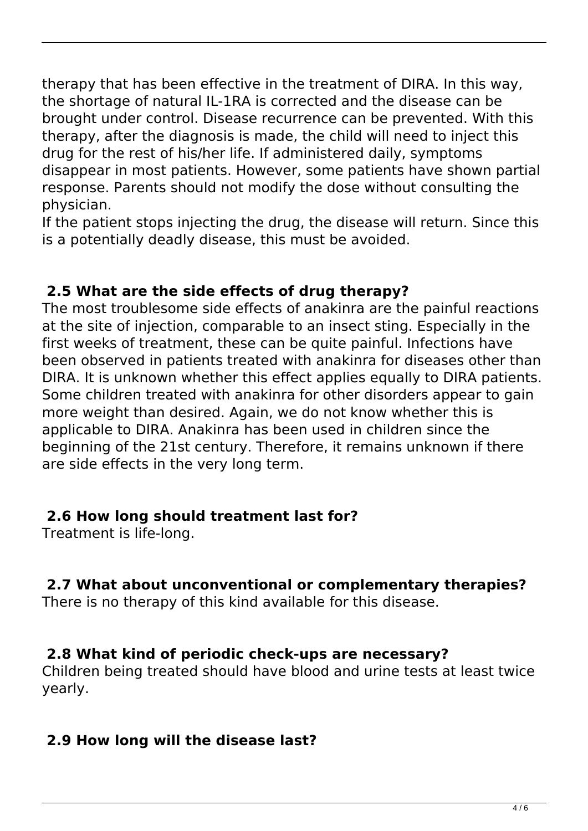therapy that has been effective in the treatment of DIRA. In this way, the shortage of natural IL-1RA is corrected and the disease can be brought under control. Disease recurrence can be prevented. With this therapy, after the diagnosis is made, the child will need to inject this drug for the rest of his/her life. If administered daily, symptoms disappear in most patients. However, some patients have shown partial response. Parents should not modify the dose without consulting the physician.

If the patient stops injecting the drug, the disease will return. Since this is a potentially deadly disease, this must be avoided.

#### **2.5 What are the side effects of drug therapy?**

The most troublesome side effects of anakinra are the painful reactions at the site of injection, comparable to an insect sting. Especially in the first weeks of treatment, these can be quite painful. Infections have been observed in patients treated with anakinra for diseases other than DIRA. It is unknown whether this effect applies equally to DIRA patients. Some children treated with anakinra for other disorders appear to gain more weight than desired. Again, we do not know whether this is applicable to DIRA. Anakinra has been used in children since the beginning of the 21st century. Therefore, it remains unknown if there are side effects in the very long term.

#### **2.6 How long should treatment last for?**

Treatment is life-long.

### **2.7 What about unconventional or complementary therapies?**

There is no therapy of this kind available for this disease.

### **2.8 What kind of periodic check-ups are necessary?**

Children being treated should have blood and urine tests at least twice yearly.

### **2.9 How long will the disease last?**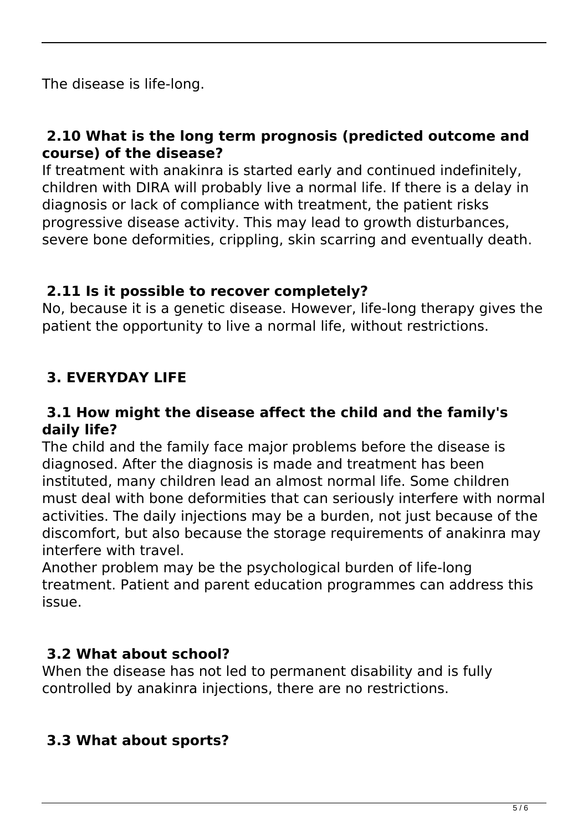The disease is life-long.

#### **2.10 What is the long term prognosis (predicted outcome and course) of the disease?**

If treatment with anakinra is started early and continued indefinitely, children with DIRA will probably live a normal life. If there is a delay in diagnosis or lack of compliance with treatment, the patient risks progressive disease activity. This may lead to growth disturbances, severe bone deformities, crippling, skin scarring and eventually death.

#### **2.11 Is it possible to recover completely?**

No, because it is a genetic disease. However, life-long therapy gives the patient the opportunity to live a normal life, without restrictions.

# **3. EVERYDAY LIFE**

#### **3.1 How might the disease affect the child and the family's daily life?**

The child and the family face major problems before the disease is diagnosed. After the diagnosis is made and treatment has been instituted, many children lead an almost normal life. Some children must deal with bone deformities that can seriously interfere with normal activities. The daily injections may be a burden, not just because of the discomfort, but also because the storage requirements of anakinra may interfere with travel.

Another problem may be the psychological burden of life-long treatment. Patient and parent education programmes can address this issue.

#### **3.2 What about school?**

When the disease has not led to permanent disability and is fully controlled by anakinra injections, there are no restrictions.

### **3.3 What about sports?**